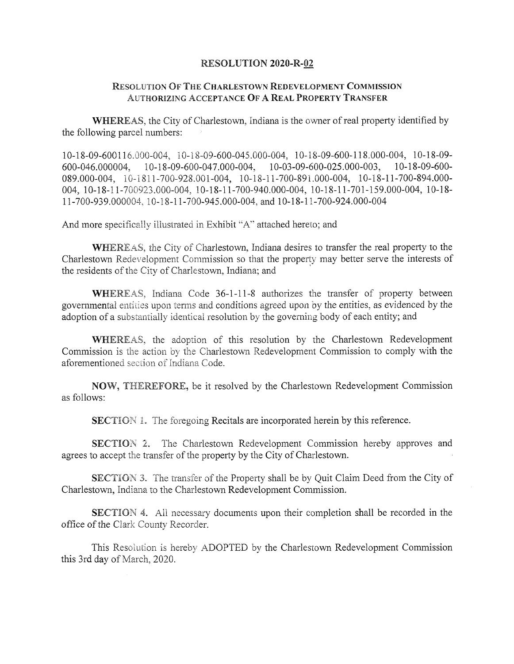## **RESOLUTION 2020-R-02**

## Resollition O<sup>f</sup> The Charlestown Redevelopment Commission Authorizing Acceptance O<sup>f</sup> A Real Property Transfer

WHEREAS, the City of Charlestown, Indiana is the owner of real property identified by the following parcel numbers:

10-18-09-600116.000-004, 10-18-09-600-045.000-004, 10-18-09-600-118.000-004, 10-18-09 600-046.000004, 10-18-09-600-047.000-004, 10-03-09-600-025.000-003, 10-18-09-600 089.000-004, 10-1811-700-928.001-004, 10-18-11-700-891.000-004, 10-18-11-700-894.000 004, 10-18-11-700923.000-004, 10-18-11-700-940.000-004, 10-18-11-701-159.000-004, 10-18 11-700-939.000004, 10-18-11-700-945.000-004, and 10-18-11-700-924.000-004

And more specifically illustrated in Exhibit "A" attached hereto; and

WHEREAS, the City of Charlestown, Indiana desires to transfer the real property to the Charlestown Redevelopment Commission so that the property may better serve the interests of the residents of the City of Charlestown, Indiana; and

WHEREAS, Indiana Code 36-1-11-8 authorizes the transfer of property between governmental entities upon terms and conditions agreed upon by the entities, as evidenced by the adoption of a substantially identical resolution by the governing body of each entity; and

WHEREAS, the adoption of this resolution by the Charlestown Redevelopment Commission is the action by the Charlestown Redevelopment Commission to comply with the aforementioned section of Indiana Code.

NOW, THEREFORE, be it resolved by the Charlestown Redevelopment Commission as follows;

SECTION **1**. The foregoing Recitals are incorporated herein by this reference.

SECTION 2. The Charlestowm Redevelopment Commission hereby approves and agrees to accept the transfer of the property by the City of Charlestown.

SECTION 3. The transfer of the Property shall be by Quit Claim Deed from the City of Charlestown, Indiana to the Charlestown Redevelopment Commission.

SECTION 4, All necessary documents upon their completion shall be recorded in the office of the Clark County Recorder.

This Resolution is hereby ADOPTED by the Charlestown Redevelopment Commission this 3rd day of March, 2020.